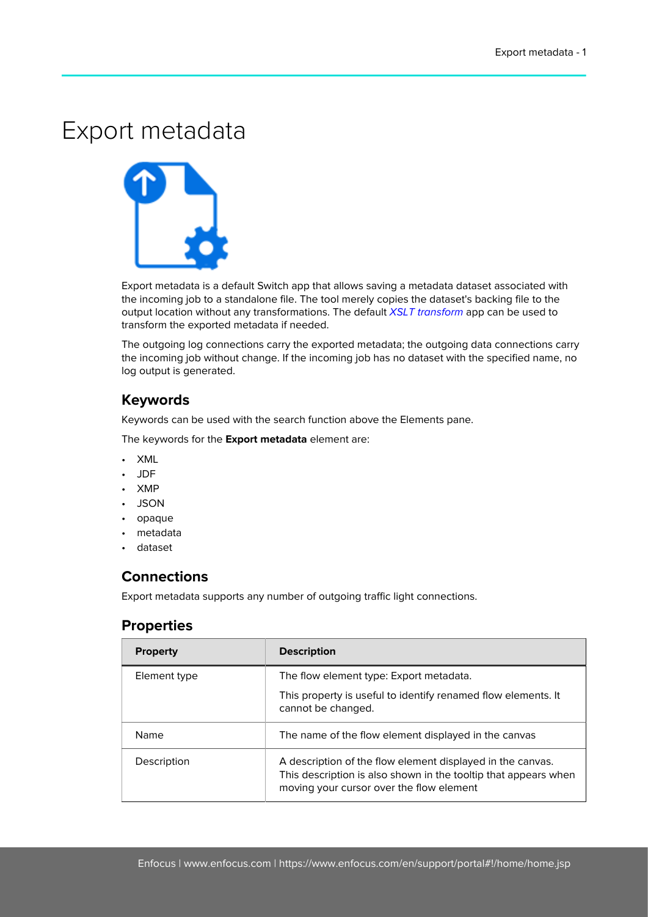## Export metadata



Export metadata is a default Switch app that allows saving a metadata dataset associated with the incoming job to a standalone file. The tool merely copies the dataset's backing file to the output location without any transformations. The default [XSLT transform](https://www.enfocus.com/en/appstore/product/xslt-transform) app can be used to transform the exported metadata if needed.

The outgoing log connections carry the exported metadata; the outgoing data connections carry the incoming job without change. If the incoming job has no dataset with the specified name, no log output is generated.

## **Keywords**

Keywords can be used with the search function above the Elements pane.

The keywords for the **Export metadata** element are:

- XML
- JDF
- XMP
- JSON
- opaque
- metadata
- dataset

## **Connections**

Export metadata supports any number of outgoing traffic light connections.

## **Properties**

| <b>Property</b> | <b>Description</b>                                                                                                                                                        |
|-----------------|---------------------------------------------------------------------------------------------------------------------------------------------------------------------------|
| Element type    | The flow element type: Export metadata.                                                                                                                                   |
|                 | This property is useful to identify renamed flow elements. It<br>cannot be changed.                                                                                       |
| Name            | The name of the flow element displayed in the canvas                                                                                                                      |
| Description     | A description of the flow element displayed in the canvas.<br>This description is also shown in the tooltip that appears when<br>moving your cursor over the flow element |